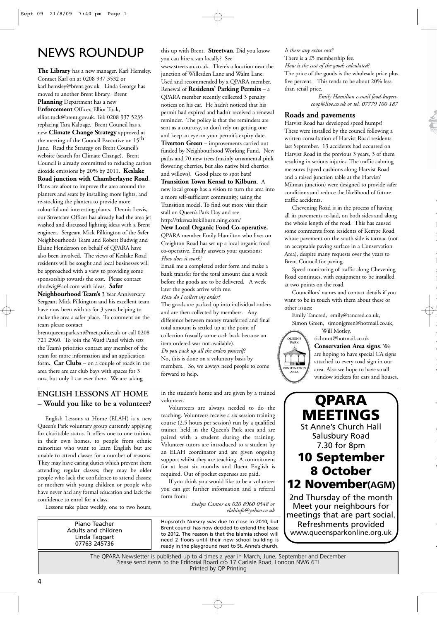# NEWS ROUNDUP

**The Library** has a new manager, Karl Hemsley. Contact Karl on at 0208 937 3532 or karl.hemsley@brent.gov.uk Linda George has moved to another Brent library. Brent **Planning** Department has a new **Enforcement** Officer, Elliot Tuck, elliot.tuck@brent.gov.uk. Tel: 0208 937 5235 replacing Tara Kalpage. Brent Council has a new **Climate Change Strategy** approved at the meeting of the Council Executive on 15<sup>th</sup> June. Read the Strategy on Brent Council's website (search for Climate Change). Brent Council is already committed to reducing carbon dioxide emissions by 20% by 2011. **Keslake Road junction with Chamberlayne Road**. Plans are afoot to improve the area around the planters and seats by installing more lights, and re-stocking the planters to provide more colourful and interesting plants. Dennis Lewis, our Streetcare Officer has already had the area jet washed and discussed lighting ideas with a Brent engineer. Sergeant Mick Pilkington of the Safer Neighbourhoods Team and Robert Budwig and Elaine Henderson on behalf of QPARA have also been involved. The views of Keslake Road residents will be sought and local businesses will be approached with a view to providing some sponsorship towards the cost. Please contact rbudwig@aol.com with ideas. **Safer**

**Neighbourhood Team's** 3 Year Anniversary. Sergeant Mick Pilkington and his excellent team have now been with us for 3 years helping to make the area a safer place. To comment on the team please contact

brentqueenspark.snt@met.police.uk or call 0208 721 2960. To join the Ward Panel which sets the Team's priorities contact any member of the team for more information and an application form**. Car Clubs** – on a couple of roads in the area there are car club bays with spaces for 3 cars, but only 1 car ever there. We are taking

this up with Brent. **Streetvan**. Did you know you can hire a van locally? See www.streetvan.co.uk. There's a location near the junction of Willesden Lane and Walm Lane. Used and recommended by a QPARA member. Renewal of **Residents' Parking Permits** – a QPARA member recently collected 3 penalty notices on his car. He hadn't noticed that his permit had expired and hadn't received a renewal reminder. The policy is that the reminders are sent as a courtesy, so don't rely on getting one and keep an eye on your permit's expiry date. **Tiverton Green** – improvements carried out funded by Neighbourhood Working Fund. New paths and 70 new trees (mainly ornamental pink flowering cherries, but also native bird cherries

#### and willows). Good place to spot bats! **Transition Town Kensal to Kilburn**. A

new local group has a vision to turn the area into a more self-sufficient community, using the Transition model. To find out more visit their stall on Queen's Park Day and see http://ttkensaltokilburn.ning.com/

#### **New Local Organic Food Co-operative.**

QPARA member Emily Hamilton who lives on Creighton Road has set up a local organic food co-operative. Emily answers your questions: *How does it work?* 

Email me a completed order form and make a bank transfer for the total amount due a week before the goods are to be delivered. A week later the goods arrive with me.

*How do I collect my order?*

The goods are packed up into individual orders and are then collected by members. Any difference between money transferred and final total amount is settled up at the point of collection (usually some cash back because an item ordered was not available). *Do you pack up all the orders yourself?* No, this is done on a voluntary basis by members. So, we always need people to come forward to help.

#### *Is there any extra cost?*

There is a £5 membership fee. *How is the cost of the goods calculated?* The price of the goods is the wholesale price plus five percent. This tends to be about 20% less than retail price.

> *Emily Hamilton e-mail food-buyerscoop@live.co.uk or tel. 07779 100 187*

#### **Roads and pavements**

Harvist Road has developed speed humps! These were installed by the council following a written consultation of Harvist Road residents last September. 13 accidents had occurred on Harvist Road in the previous 3 years, 3 of them resulting in serious injuries. The traffic calming measures (speed cushions along Harvist Road and a raised junction table at the Harvist/ Milman junction) were designed to provide safer conditions and reduce the likelihood of future traffic accidents.

Chevening Road is in the process of having all its pavements re-laid, on both sides and along the whole length of the road. This has caused some comments from residents of Kempe Road whose pavement on the south side is tarmac (not an acceptable paving surface in a Conservation Area), despite many requests over the years to Brent Council for paving.

l<br>T

**w**

W a

s l<br>I

a s

S

w l<br>T y W

*f*

l<br>C *A*

W

t

*g*

Speed monitoring of traffic along Chevening Road continues, with equipment to be installed at two points on the road.

Councillors' names and contact details if you want to be in touch with them about these or other issues:

Emily Tancred, emily@tancred.co.uk, Simon Green, simonjgreen@hotmail.co.uk,

Will Motley, **QUEEN'S PARK CONSERVATION AREA**

tichmot@hotmail.co.uk **Conservation Area signs**. We are hoping to have special CA signs attached to every road sign in our area. Also we hope to have small window stickers for cars and houses.

## **ENGLISH LESSONS AT HOME – Would you like to be a volunteer?**

English Lessons at Home (ELAH) is a new Queen's Park voluntary group currently applying for charitable status. It offers one to one tuition, in their own homes, to people from ethnic minorities who want to learn English but are unable to attend classes for a number of reasons. They may have caring duties which prevent them attending regular classes; they may be older people who lack the confidence to attend classes; or mothers with young children or people who have never had any formal education and lack the confidence to enrol for a class.

Lessons take place weekly, one to two hours,

Piano Teacher Adults and children Linda Taggart 07763 245736

in the student's home and are given by a trained volunteer.

Volunteers are always needed to do the teaching. Volunteers receive a six session training course (2.5 hours per session) run by a qualified trainer, held in the Queen's Park area and are paired with a student during the training. Volunteer tutors are introduced to a student by an ELAH coordinator and are given ongoing support whilst they are teaching. A commitment for at least six months and fluent English is required. Out of pocket expenses are paid.

If you think you would like to be a volunteer you can get further information and a referral form from:

> *Evelyn Cantor on 020 8960 0548 or elahinfo@yahoo.co.uk*

Hopscotch Nursery was due to close in 2010, but Brent council has now decided to extend the lease to 2012. The reason is that the Islamia school will need 2 floors until their new school building is ready in the playground next to St. Anne's church.



The QPARA Newsletter is published up to 4 times a year in March, June, September and December Please send items to the Editorial Board c/o 17 Carlisle Road, London NW6 6TL Printed by QP Printing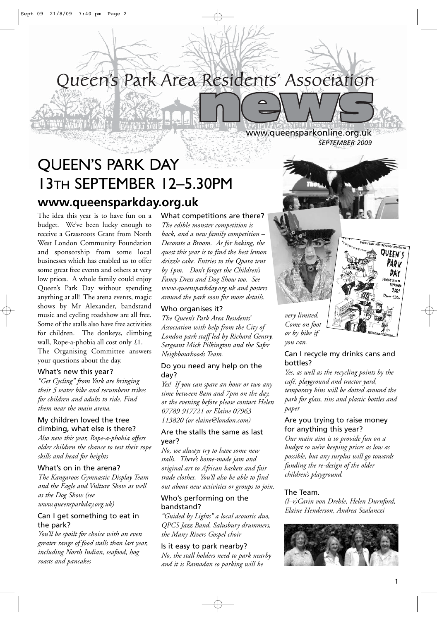

# QUEEN'S PARK DAY 13TH SEPTEMBER 12–5.30PM **www.queensparkday.org.uk**

The idea this year is to have fun on a budget. We've been lucky enough to receive a Grassroots Grant from North West London Community Foundation and sponsorship from some local businesses which has enabled us to offer some great free events and others at very low prices. A whole family could enjoy Queen's Park Day without spending anything at all! The arena events, magic shows by Mr Alexander, bandstand music and cycling roadshow are all free. Some of the stalls also have free activities for children. The donkeys, climbing wall, Rope-a-phobia all cost only £1. The Organising Committee answers your questions about the day.

#### What's new this year?

*"Get Cycling" from York are bringing their 5 seater bike and recumbent trikes for children and adults to ride. Find them near the main arena.*

## My children loved the tree climbing, what else is there?

*Also new this year, Rope-a-phobia offers older children the chance to test their rope skills and head for heights*

#### What's on in the arena?

*The Kangaroos Gymnastic Display Team and the Eagle and Vulture Show as well as the Dog Show (see www.queensparkday.org.uk)*

#### Can I get something to eat in the park?

*You'll be spoilt for choice with an even greater range of food stalls than last year, including North Indian, seafood, hog roasts and pancakes*

What competitions are there? *The edible monster competition is back, and a new family competition – Decorate a Broom. As for baking, the quest this year is to find the best lemon drizzle cake. Entries to the Qpara tent by 1pm. Don't forget the Children's Fancy Dress and Dog Show too. See*

*www.queensparkday.org.uk and posters around the park soon for more details.* Who organises it?

*The Queen's Park Area Residents' Association with help from the City of London park staff led by Richard Gentry, Sergeant Mick Pilkington and the Safer Neighbourhoods Team.*

## Do you need any help on the day?

*Yes! If you can spare an hour or two any time between 8am and 7pm on the day, or the evening before please contact Helen 07789 917721 or Elaine 07963 113820 (or elaine@london.com)*

#### Are the stalls the same as last year?

*No, we always try to have some new stalls. There's home-made jam and original art to African baskets and fair trade clothes. You'll also be able to find out about new activities or groups to join.*

## Who's performing on the bandstand?

*"Guided by Lights" a local acoustic duo, QPCS Jazz Band, Salusbury drummers, the Many Rivers Gospel choir* 

# Is it easy to park nearby?

*No, the stall holders need to park nearby and it is Ramadan so parking will be* 

www.queensparkonline.org.uk *SEPTEMBER 2009*



# Can I recycle my drinks cans and bottles?

*Yes, as well as the recycling points by the café, playground and tractor yard, temporary bins will be dotted around the park for glass, tins and plastic bottles and paper*

#### Are you trying to raise money for anything this year?

*Our main aim is to provide fun on a budget so we're keeping prices as low as possible, but any surplus will go towards funding the re-design of the older children's playground.* 

#### The Team.

*(l–r)Carin von Drehle, Helen Durnford, Elaine Henderson, Andrea Szalanczi*



QUEEN'S PAR v DAY

> 2009  $-5.30.$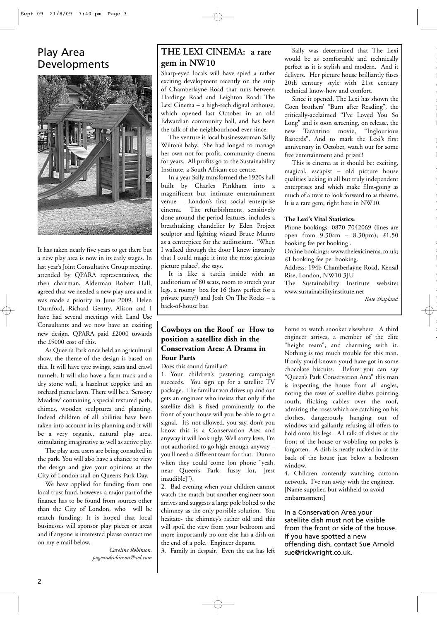# Play Area Developments



It has taken nearly five years to get there but a new play area is now in its early stages. In last year's Joint Consultative Group meeting, attended by QPARA representatives, the then chairman, Alderman Robert Hall, agreed that we needed a new play area and it was made a priority in June 2009. Helen Durnford, Richard Gentry, Alison and I have had several meetings with Land Use Consultants and we now have an exciting new design. QPARA paid £2000 towards the £5000 cost of this.

As Queen's Park once held an agricultural show, the theme of the design is based on this. It will have tyre swings, seats and crawl tunnels. It will also have a farm track and a dry stone wall, a hazelnut coppice and an orchard picnic lawn. There will be a 'Sensory Meadow' containing a special textured path, chimes, wooden sculptures and planting. Indeed children of all abilities have been taken into account in its planning and it will be a very organic, natural play area, stimulating imaginative as well as active play.

The play area users are being consulted in the park. You will also have a chance to view the design and give your opinions at the City of London stall on Queen's Park Day.

We have applied for funding from one local trust fund, however, a major part of the finance has to be found from sources other than the City of London, who will be match funding, It is hoped that local businesses will sponsor play pieces or areas and if anyone is interested please contact me on my e mail below.

*Caroline Robinson. pageandrobinson@aol.com*

# **THE LEXI CINEMA: a rare gem in NW10**

Sharp-eyed locals will have spied a rather exciting development recently on the strip of Chamberlayne Road that runs between Hardinge Road and Leighton Road: The Lexi Cinema – a high-tech digital arthouse, which opened last October in an old Edwardian community hall, and has been the talk of the neighbourhood ever since.

The venture is local businesswoman Sally Wilton's baby. She had longed to manage her own not for profit, community cinema for years. All profits go to the Sustainability Institute, a South African eco centre.

In a year Sally transformed the 1920s hall built by Charles Pinkham into a magnificent but intimate entertainment venue – London's first social enterprise cinema. The refurbishment, sensitively done around the period features, includes a breathtaking chandelier by Eden Project sculptor and lighting wizard Bruce Munro as a centrepiece for the auditorium. 'When I walked through the door I knew instantly that I could magic it into the most glorious picture palace', she says.

It is like a tardis inside with an auditorium of 80 seats, room to stretch your legs, a roomy box for 16 (how perfect for a private party?) and Josh On The Rocks – a back-of-house bar.

## **Cowboys on the Roof or How to position a satellite dish in the Conservation Area: A Drama in Four Parts**

Does this sound familiar?

1. Your children's pestering campaign succeeds. You sign up for a satellite TV package. The familiar van drives up and out gets an engineer who insists that only if the satellite dish is fixed prominently to the front of your house will you be able to get a signal. It's not allowed, you say, don't you know this is a Conservation Area and anyway it will look ugly. Well sorry love, I'm not authorised to go high enough anyway – you'll need a different team for that. Dunno when they could come (on phone "yeah, near Queen's Park, fussy lot, [rest inaudible]").

2. Bad evening when your children cannot watch the match but another engineer soon arrives and suggests a large pole bolted to the chimney as the only possible solution. You hesitate- the chimney's rather old and this will spoil the view from your bedroom and more importantly no one else has a dish on the end of a pole. Engineer departs.

3. Family in despair. Even the cat has left

Sally was determined that The Lexi would be as comfortable and technically perfect as it is stylish and modern. And it delivers. Her picture house brilliantly fuses 20th century style with 21st century technical know-how and comfort.

w

e

O

W

W s w w

s

a w a

:<br>:

Since it opened, The Lexi has shown the Coen brothers' "Burn after Reading", the critically-acclaimed "I've Loved You So Long" and is soon screening, on release, the new Tarantino movie, "Inglourious Basterds". And to mark the Lexi's first anniversary in October, watch out for some free entertainment and prizes!!

This is cinema as it should be: exciting, magical, escapist – old picture house qualities lacking in all but truly independent enterprises and which make film-going as much of a treat to look forward to as theatre. It is a rare gem, right here in NW10.

#### **The Lexi's Vital Statistics:**

Phone bookings: 0870 7042069 (lines are open from 9.30am – 8.30pm); £1.50 booking fee per booking . Online bookings: www.thelexicinema.co.uk;

£1 booking fee per booking. Address: 194b Chamberlayne Road, Kensal

Rise, London, NW10 3JU

The Sustainability Institute website: www.sustainabilityinstitute.net

*Kate Shapland*

home to watch snooker elsewhere. A third engineer arrives, a member of the elite "height team", and charming with it. Nothing is too much trouble for this man. If only you'd known you'd have got in some chocolate biscuits. Before you can say "Queen's Park Conservation Area" this man is inspecting the house from all angles, noting the rows of satellite dishes pointing south, flicking cables over the roof, admiring the roses which are catching on his clothes, dangerously hanging out of windows and gallantly refusing all offers to hold onto his legs. All talk of dishes at the front of the house or wobbling on poles is forgotten. A dish is neatly tucked in at the back of the house just below a bedroom window.

4. Children contently watching cartoon network. I've run away with the engineer. [Name supplied but withheld to avoid embarrassment]

In a Conservation Area your satellite dish must not be visible from the front or side of the house. If you have spotted a new offending dish, contact Sue Arnold sue@rickwright.co.uk.